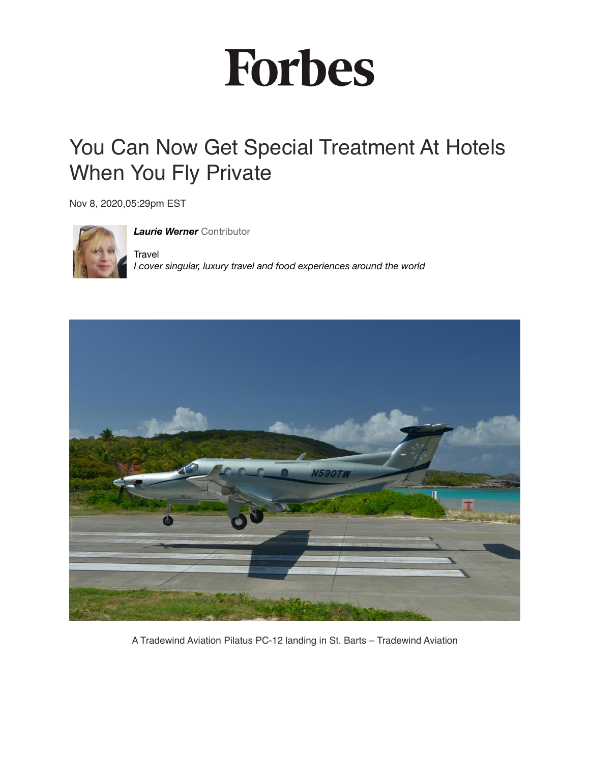## **Forbes**

## You Can Now Get Special Treatment At Hotels When You Fly Private

Nov 8, 2020,05:29pm EST



*[Laurie Werner](https://www.forbes.com/sites/lauriewerner/?sh=78b5fa4a58da)* Contributor **Travel** *I cover singular, luxury travel and food experiences around the world*



A Tradewind Aviation Pilatus PC-12 landing in St. Barts – Tradewind Aviation